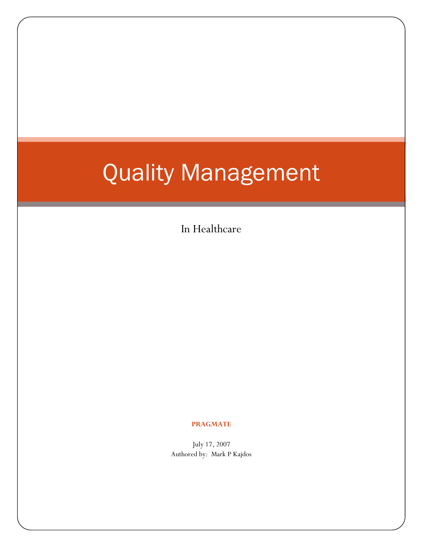# Quality Management

In Healthcare

#### **PRAGMATE**

July 17, 2007 Authored by: Mark P Kajdos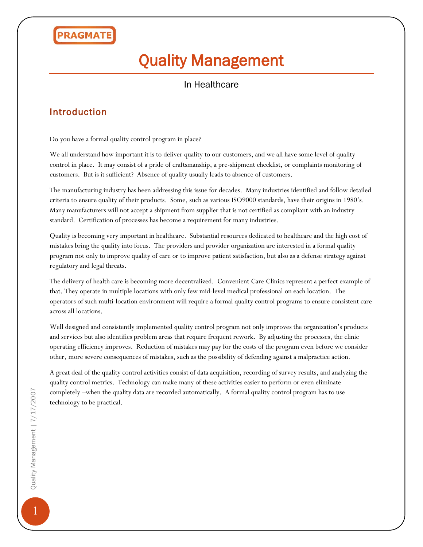# Quality Management

### In Healthcare

### Introduction

Do you have a formal quality control program in place?

We all understand how important it is to deliver quality to our customers, and we all have some level of quality control in place. It may consist of a pride of craftsmanship, a pre-shipment checklist, or complaints monitoring of customers. But is it sufficient? Absence of quality usually leads to absence of customers.

The manufacturing industry has been addressing this issue for decades. Many industries identified and follow detailed criteria to ensure quality of their products. Some, such as various ISO9000 standards, have their origins in 1980's. Many manufacturers will not accept a shipment from supplier that is not certified as compliant with an industry standard. Certification of processes has become a requirement for many industries.

Quality is becoming very important in healthcare. Substantial resources dedicated to healthcare and the high cost of mistakes bring the quality into focus. The providers and provider organization are interested in a formal quality program not only to improve quality of care or to improve patient satisfaction, but also as a defense strategy against regulatory and legal threats.

The delivery of health care is becoming more decentralized. Convenient Care Clinics represent a perfect example of that. They operate in multiple locations with only few mid-level medical professional on each location. The operators of such multi-location environment will require a formal quality control programs to ensure consistent care across all locations.

Well designed and consistently implemented quality control program not only improves the organization's products and services but also identifies problem areas that require frequent rework. By adjusting the processes, the clinic operating efficiency improves. Reduction of mistakes may pay for the costs of the program even before we consider other, more severe consequences of mistakes, such as the possibility of defending against a malpractice action.

A great deal of the quality control activities consist of data acquisition, recording of survey results, and analyzing the quality control metrics. Technology can make many of these activities easier to perform or even eliminate completely –when the quality data are recorded automatically. A formal quality control program has to use technology to be practical.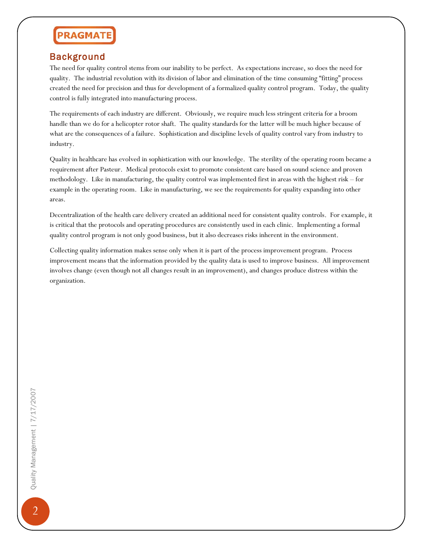### Background

The need for quality control stems from our inability to be perfect. As expectations increase, so does the need for quality. The industrial revolution with its division of labor and elimination of the time consuming "fitting" process created the need for precision and thus for development of a formalized quality control program. Today, the quality control is fully integrated into manufacturing process.

The requirements of each industry are different. Obviously, we require much less stringent criteria for a broom handle than we do for a helicopter rotor shaft. The quality standards for the latter will be much higher because of what are the consequences of a failure. Sophistication and discipline levels of quality control vary from industry to industry.

Quality in healthcare has evolved in sophistication with our knowledge. The sterility of the operating room became a requirement after Pasteur. Medical protocols exist to promote consistent care based on sound science and proven methodology. Like in manufacturing, the quality control was implemented first in areas with the highest risk – for example in the operating room. Like in manufacturing, we see the requirements for quality expanding into other areas.

Decentralization of the health care delivery created an additional need for consistent quality controls. For example, it is critical that the protocols and operating procedures are consistently used in each clinic. Implementing a formal quality control program is not only good business, but it also decreases risks inherent in the environment.

Collecting quality information makes sense only when it is part of the process improvement program. Process improvement means that the information provided by the quality data is used to improve business. All improvement involves change (even though not all changes result in an improvement), and changes produce distress within the organization.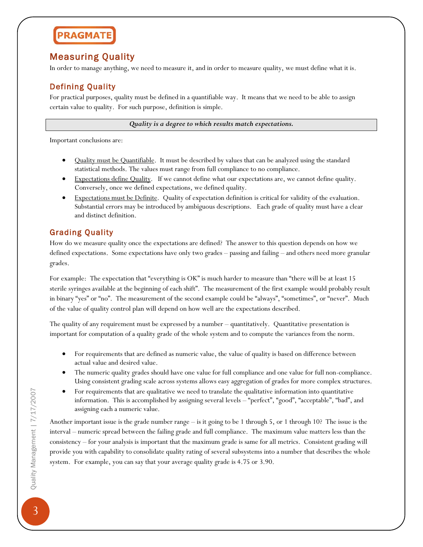### Measuring Quality

In order to manage anything, we need to measure it, and in order to measure quality, we must define what it is.

### Defining Quality

For practical purposes, quality must be defined in a quantifiable way. It means that we need to be able to assign certain value to quality. For such purpose, definition is simple.

*Quality is a degree to which results match expectations.*

Important conclusions are:

- Quality must be Quantifiable. It must be described by values that can be analyzed using the standard statistical methods. The values must range from full compliance to no compliance.
- Expectations define Quality. If we cannot define what our expectations are, we cannot define quality. Conversely, once we defined expectations, we defined quality.
- Expectations must be Definite. Quality of expectation definition is critical for validity of the evaluation. Substantial errors may be introduced by ambiguous descriptions. Each grade of quality must have a clear and distinct definition.

### Grading Quality

How do we measure quality once the expectations are defined? The answer to this question depends on how we defined expectations. Some expectations have only two grades – passing and failing – and others need more granular grades.

For example: The expectation that "everything is OK" is much harder to measure than "there will be at least 15 sterile syringes available at the beginning of each shift". The measurement of the first example would probably result in binary "yes" or "no". The measurement of the second example could be "always", "sometimes", or "never". Much of the value of quality control plan will depend on how well are the expectations described.

The quality of any requirement must be expressed by a number – quantitatively. Quantitative presentation is important for computation of a quality grade of the whole system and to compute the variances from the norm.

- For requirements that are defined as numeric value, the value of quality is based on difference between actual value and desired value.
- The numeric quality grades should have one value for full compliance and one value for full non-compliance. Using consistent grading scale across systems allows easy aggregation of grades for more complex structures.
- For requirements that are qualitative we need to translate the qualitative information into quantitative information. This is accomplished by assigning several levels – "perfect", "good", "acceptable", "bad", and assigning each a numeric value.

Another important issue is the grade number range – is it going to be 1 through 5, or 1 through 10? The issue is the interval – numeric spread between the failing grade and full compliance. The maximum value matters less than the consistency – for your analysis is important that the maximum grade is same for all metrics. Consistent grading will provide you with capability to consolidate quality rating of several subsystems into a number that describes the whole system. For example, you can say that your average quality grade is 4.75 or 3.90.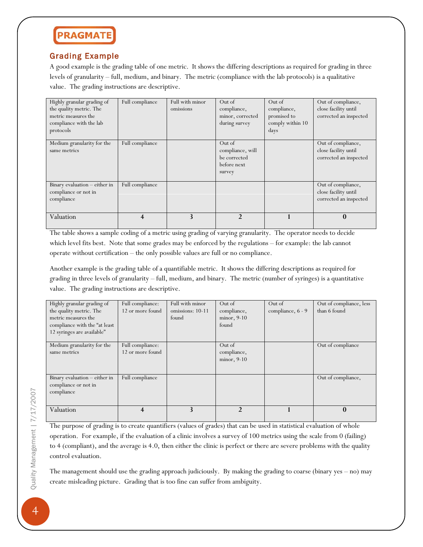# **PRAGMATI**

### Grading Example

A good example is the grading table of one metric. It shows the differing descriptions as required for grading in three levels of granularity – full, medium, and binary. The metric (compliance with the lab protocols) is a qualitative value. The grading instructions are descriptive.

| Highly granular grading of<br>the quality metric. The<br>metric measures the<br>compliance with the lab<br>protocols | Full compliance | Full with minor<br>omissions | Out of<br>compliance,<br>minor, corrected<br>during survey          | Out of<br>compliance,<br>promised to<br>comply within 10<br>days | Out of compliance,<br>close facility until<br>corrected an inspected |
|----------------------------------------------------------------------------------------------------------------------|-----------------|------------------------------|---------------------------------------------------------------------|------------------------------------------------------------------|----------------------------------------------------------------------|
| Medium granularity for the<br>same metrics                                                                           | Full compliance |                              | Out of<br>compliance, will<br>be corrected<br>before next<br>survey |                                                                  | Out of compliance,<br>close facility until<br>corrected an inspected |
| Binary evaluation – either in<br>compliance or not in<br>compliance                                                  | Full compliance |                              |                                                                     |                                                                  | Out of compliance,<br>close facility until<br>corrected an inspected |
| Valuation                                                                                                            | 4               | 3                            |                                                                     |                                                                  | $\mathbf{0}$                                                         |

The table shows a sample coding of a metric using grading of varying granularity. The operator needs to decide which level fits best. Note that some grades may be enforced by the regulations – for example: the lab cannot operate without certification – the only possible values are full or no compliance.

Another example is the grading table of a quantifiable metric. It shows the differing descriptions as required for grading in three levels of granularity – full, medium, and binary. The metric (number of syringes) is a quantitative value. The grading instructions are descriptive.

| Highly granular grading of    | Full compliance:        | Full with minor         | Out of         | Out of            | Out of compliance, less |
|-------------------------------|-------------------------|-------------------------|----------------|-------------------|-------------------------|
| the quality metric. The       | 12 or more found        | omissions: 10-11        | compliance,    | compliance, 6 - 9 | than 6 found            |
| metric measures the           |                         | found                   | minor, 9-10    |                   |                         |
| compliance with the "at least |                         |                         | found          |                   |                         |
| 12 syringes are available"    |                         |                         |                |                   |                         |
|                               |                         |                         |                |                   |                         |
| Medium granularity for the    | Full compliance:        |                         | Out of         |                   | Out of compliance       |
| same metrics                  | 12 or more found        |                         | compliance,    |                   |                         |
|                               |                         |                         | minor, 9-10    |                   |                         |
|                               |                         |                         |                |                   |                         |
| Binary evaluation – either in | Full compliance         |                         |                |                   | Out of compliance,      |
| compliance or not in          |                         |                         |                |                   |                         |
| compliance                    |                         |                         |                |                   |                         |
|                               |                         |                         |                |                   |                         |
| Valuation                     | $\overline{\mathbf{4}}$ | $\overline{\mathbf{3}}$ | $\overline{2}$ |                   | $\mathbf{0}$            |
|                               |                         |                         |                |                   |                         |

The purpose of grading is to create quantifiers (values of grades) that can be used in statistical evaluation of whole operation. For example, if the evaluation of a clinic involves a survey of 100 metrics using the scale from 0 (failing) to 4 (compliant), and the average is 4.0, then either the clinic is perfect or there are severe problems with the quality control evaluation.

The management should use the grading approach judiciously. By making the grading to coarse (binary yes – no) may create misleading picture. Grading that is too fine can suffer from ambiguity.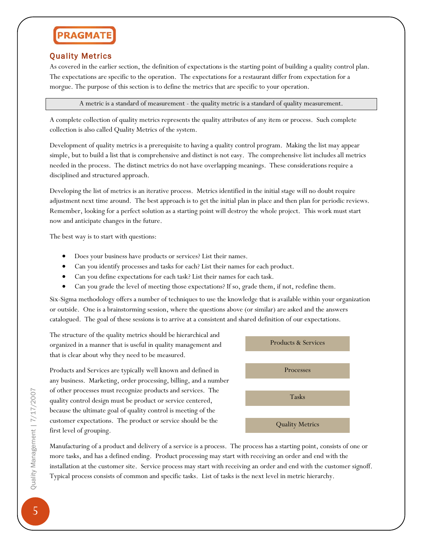#### Quality Metrics

As covered in the earlier section, the definition of expectations is the starting point of building a quality control plan. The expectations are specific to the operation. The expectations for a restaurant differ from expectation for a morgue. The purpose of this section is to define the metrics that are specific to your operation.

A metric is a standard of measurement - the quality metric is a standard of quality measurement.

A complete collection of quality metrics represents the quality attributes of any item or process. Such complete collection is also called Quality Metrics of the system.

Development of quality metrics is a prerequisite to having a quality control program. Making the list may appear simple, but to build a list that is comprehensive and distinct is not easy. The comprehensive list includes all metrics needed in the process. The distinct metrics do not have overlapping meanings. These considerations require a disciplined and structured approach.

Developing the list of metrics is an iterative process. Metrics identified in the initial stage will no doubt require adjustment next time around. The best approach is to get the initial plan in place and then plan for periodic reviews. Remember, looking for a perfect solution as a starting point will destroy the whole project. This work must start now and anticipate changes in the future.

The best way is to start with questions:

- Does your business have products or services? List their names.
- Can you identify processes and tasks for each? List their names for each product.
- Can you define expectations for each task? List their names for each task.
- Can you grade the level of meeting those expectations? If so, grade them, if not, redefine them.

Six-Sigma methodology offers a number of techniques to use the knowledge that is available within your organization or outside. One is a brainstorming session, where the questions above (or similar) are asked and the answers catalogued. The goal of these sessions is to arrive at a consistent and shared definition of our expectations.

The structure of the quality metrics should be hierarchical and organized in a manner that is useful in quality management and that is clear about why they need to be measured.

Products and Services are typically well known and defined in any business. Marketing, order processing, billing, and a number of other processes must recognize products and services. The quality control design must be product or service centered, because the ultimate goal of quality control is meeting of the customer expectations. The product or service should be the first level of grouping.



Manufacturing of a product and delivery of a service is a process. The process has a starting point, consists of one or more tasks, and has a defined ending. Product processing may start with receiving an order and end with the installation at the customer site. Service process may start with receiving an order and end with the customer signoff. Typical process consists of common and specific tasks. List of tasks is the next level in metric hierarchy.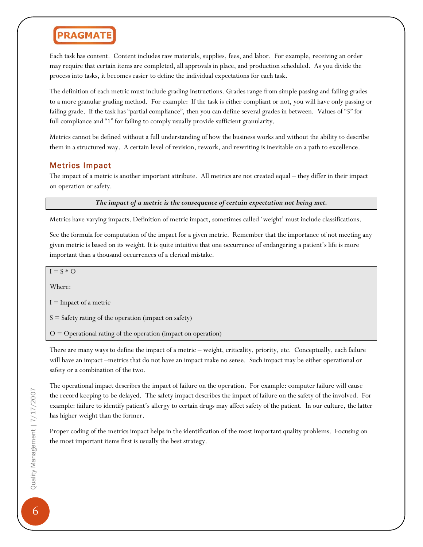Each task has content. Content includes raw materials, supplies, fees, and labor. For example, receiving an order may require that certain items are completed, all approvals in place, and production scheduled. As you divide the process into tasks, it becomes easier to define the individual expectations for each task.

The definition of each metric must include grading instructions. Grades range from simple passing and failing grades to a more granular grading method. For example: If the task is either compliant or not, you will have only passing or failing grade. If the task has "partial compliance", then you can define several grades in between. Values of "5" for full compliance and "1" for failing to comply usually provide sufficient granularity.

Metrics cannot be defined without a full understanding of how the business works and without the ability to describe them in a structured way. A certain level of revision, rework, and rewriting is inevitable on a path to excellence.

#### Metrics Impact

The impact of a metric is another important attribute. All metrics are not created equal – they differ in their impact on operation or safety.

*The impact of a metric is the consequence of certain expectation not being met.*

Metrics have varying impacts. Definition of metric impact, sometimes called 'weight' must include classifications.

See the formula for computation of the impact for a given metric. Remember that the importance of not meeting any given metric is based on its weight. It is quite intuitive that one occurrence of endangering a patient's life is more important than a thousand occurrences of a clerical mistake.

 $I = S * O$ 

Where:

 $I =$ Impact of a metric

 $S =$  Safety rating of the operation (impact on safety)

 $O =$  Operational rating of the operation (impact on operation)

There are many ways to define the impact of a metric – weight, criticality, priority, etc. Conceptually, each failure will have an impact –metrics that do not have an impact make no sense. Such impact may be either operational or safety or a combination of the two.

The operational impact describes the impact of failure on the operation. For example: computer failure will cause the record keeping to be delayed. The safety impact describes the impact of failure on the safety of the involved. For example: failure to identify patient's allergy to certain drugs may affect safety of the patient. In our culture, the latter has higher weight than the former.

Proper coding of the metrics impact helps in the identification of the most important quality problems. Focusing on the most important items first is usually the best strategy.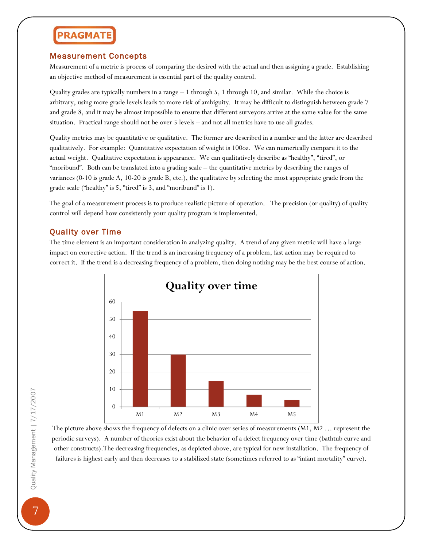#### Measurement Concepts

Measurement of a metric is process of comparing the desired with the actual and then assigning a grade. Establishing an objective method of measurement is essential part of the quality control.

Quality grades are typically numbers in a range – 1 through 5, 1 through 10, and similar. While the choice is arbitrary, using more grade levels leads to more risk of ambiguity. It may be difficult to distinguish between grade 7 and grade 8, and it may be almost impossible to ensure that different surveyors arrive at the same value for the same situation. Practical range should not be over 5 levels – and not all metrics have to use all grades.

Quality metrics may be quantitative or qualitative. The former are described in a number and the latter are described qualitatively. For example: Quantitative expectation of weight is 100oz. We can numerically compare it to the actual weight. Qualitative expectation is appearance. We can qualitatively describe as "healthy", "tired", or "moribund". Both can be translated into a grading scale – the quantitative metrics by describing the ranges of variances (0-10 is grade A, 10-20 is grade B, etc.), the qualitative by selecting the most appropriate grade from the grade scale ("healthy" is 5, "tired" is 3, and "moribund" is 1).

The goal of a measurement process is to produce realistic picture of operation. The precision (or quality) of quality control will depend how consistently your quality program is implemented.

### Quality over Time

The time element is an important consideration in analyzing quality. A trend of any given metric will have a large impact on corrective action. If the trend is an increasing frequency of a problem, fast action may be required to correct it. If the trend is a decreasing frequency of a problem, then doing nothing may be the best course of action.



The picture above shows the frequency of defects on a clinic over series of measurements (M1, M2 … represent the periodic surveys). A number of theories exist about the behavior of a defect frequency over time (bathtub curve and other constructs).The decreasing frequencies, as depicted above, are typical for new installation. The frequency of failures is highest early and then decreases to a stabilized state (sometimes referred to as "infant mortality" curve).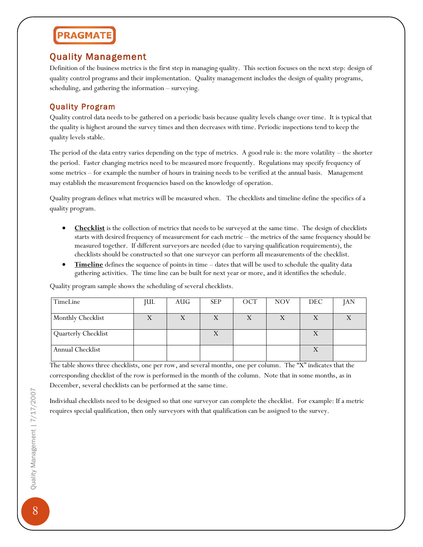### Quality Management

Definition of the business metrics is the first step in managing quality. This section focuses on the next step: design of quality control programs and their implementation. Quality management includes the design of quality programs, scheduling, and gathering the information – surveying.

### Quality Program

Quality control data needs to be gathered on a periodic basis because quality levels change over time. It is typical that the quality is highest around the survey times and then decreases with time. Periodic inspections tend to keep the quality levels stable.

The period of the data entry varies depending on the type of metrics. A good rule is: the more volatility – the shorter the period. Faster changing metrics need to be measured more frequently. Regulations may specify frequency of some metrics – for example the number of hours in training needs to be verified at the annual basis. Management may establish the measurement frequencies based on the knowledge of operation.

Quality program defines what metrics will be measured when. The checklists and timeline define the specifics of a quality program.

- **Checklist** is the collection of metrics that needs to be surveyed at the same time. The design of checklists starts with desired frequency of measurement for each metric – the metrics of the same frequency should be measured together. If different surveyors are needed (due to varying qualification requirements), the checklists should be constructed so that one surveyor can perform all measurements of the checklist.
- **Timeline** defines the sequence of points in time dates that will be used to schedule the quality data gathering activities. The time line can be built for next year or more, and it identifies the schedule.

Quality program sample shows the scheduling of several checklists.

| TimeLine                 | <b>JUL</b> | AUG | <b>SEP</b> | OCT | <b>NOV</b> | DEC. | <b>JAN</b> |
|--------------------------|------------|-----|------------|-----|------------|------|------------|
| <b>Monthly Checklist</b> |            |     |            |     |            |      |            |
|                          |            |     |            |     |            |      |            |
| Quarterly Checklist      |            |     |            |     |            |      |            |
| Annual Checklist         |            |     |            |     |            |      |            |

The table shows three checklists, one per row, and several months, one per column. The "X" indicates that the corresponding checklist of the row is performed in the month of the column. Note that in some months, as in December, several checklists can be performed at the same time.

Individual checklists need to be designed so that one surveyor can complete the checklist. For example: If a metric requires special qualification, then only surveyors with that qualification can be assigned to the survey.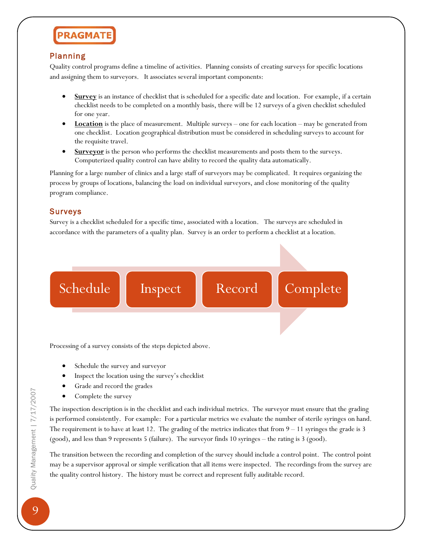#### Planning

Quality control programs define a timeline of activities. Planning consists of creating surveys for specific locations and assigning them to surveyors. It associates several important components:

- **Survey** is an instance of checklist that is scheduled for a specific date and location. For example, if a certain checklist needs to be completed on a monthly basis, there will be 12 surveys of a given checklist scheduled for one year.
- **Location** is the place of measurement. Multiple surveys one for each location may be generated from one checklist. Location geographical distribution must be considered in scheduling surveys to account for the requisite travel.
- **Surveyor** is the person who performs the checklist measurements and posts them to the surveys. Computerized quality control can have ability to record the quality data automatically.

Planning for a large number of clinics and a large staff of surveyors may be complicated. It requires organizing the process by groups of locations, balancing the load on individual surveyors, and close monitoring of the quality program compliance.

#### Surveys

Survey is a checklist scheduled for a specific time, associated with a location. The surveys are scheduled in accordance with the parameters of a quality plan. Survey is an order to perform a checklist at a location.

Schedule | Inspect | Record | Complete

Processing of a survey consists of the steps depicted above.

- Schedule the survey and surveyor
- Inspect the location using the survey's checklist
- Grade and record the grades
- Complete the survey

The inspection description is in the checklist and each individual metrics. The surveyor must ensure that the grading is performed consistently. For example: For a particular metrics we evaluate the number of sterile syringes on hand. The requirement is to have at least 12. The grading of the metrics indicates that from 9 – 11 syringes the grade is 3 (good), and less than 9 represents 5 (failure). The surveyor finds 10 syringes – the rating is 3 (good).

The transition between the recording and completion of the survey should include a control point. The control point may be a supervisor approval or simple verification that all items were inspected. The recordings from the survey are the quality control history. The history must be correct and represent fully auditable record.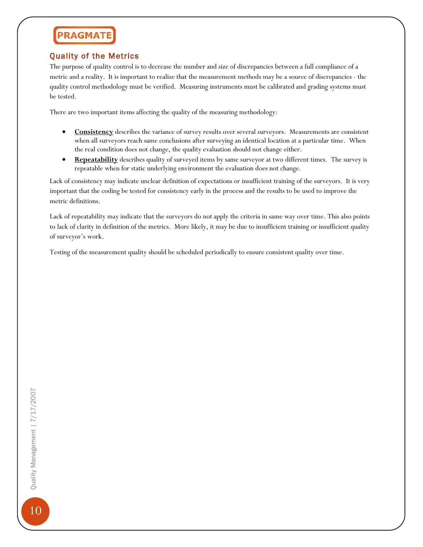### Quality of the Metrics

The purpose of quality control is to decrease the number and size of discrepancies between a full compliance of a metric and a reality. It is important to realize that the measurement methods may be a source of discrepancies - the quality control methodology must be verified. Measuring instruments must be calibrated and grading systems must be tested.

There are two important items affecting the quality of the measuring methodology:

- **Consistency** describes the variance of survey results over several surveyors. Measurements are consistent when all surveyors reach same conclusions after surveying an identical location at a particular time. When the real condition does not change, the quality evaluation should not change either.
- **Repeatability** describes quality of surveyed items by same surveyor at two different times. The survey is repeatable when for static underlying environment the evaluation does not change.

Lack of consistency may indicate unclear definition of expectations or insufficient training of the surveyors. It is very important that the coding be tested for consistency early in the process and the results to be used to improve the metric definitions.

Lack of repeatability may indicate that the surveyors do not apply the criteria in same way over time. This also points to lack of clarity in definition of the metrics. More likely, it may be due to insufficient training or insufficient quality of surveyor's work.

Testing of the measurement quality should be scheduled periodically to ensure consistent quality over time.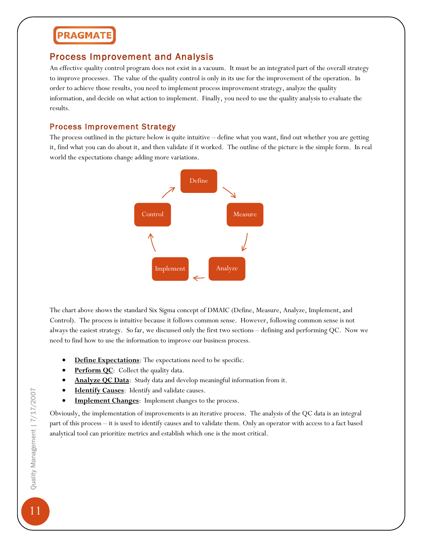### Process Improvement and Analysis

An effective quality control program does not exist in a vacuum. It must be an integrated part of the overall strategy to improve processes. The value of the quality control is only in its use for the improvement of the operation. In order to achieve those results, you need to implement process improvement strategy, analyze the quality information, and decide on what action to implement. Finally, you need to use the quality analysis to evaluate the results.

#### Process Improvement Strategy

The process outlined in the picture below is quite intuitive – define what you want, find out whether you are getting it, find what you can do about it, and then validate if it worked. The outline of the picture is the simple form. In real world the expectations change adding more variations.



The chart above shows the standard Six Sigma concept of DMAIC (Define, Measure, Analyze, Implement, and Control). The process is intuitive because it follows common sense. However, following common sense is not always the easiest strategy. So far, we discussed only the first two sections – defining and performing QC. Now we need to find how to use the information to improve our business process.

- **Define Expectations**: The expectations need to be specific.
- **Perform QC**: Collect the quality data.
- **Analyze QC Data**: Study data and develop meaningful information from it.
- **Identify Causes**: Identify and validate causes.
- **Implement Changes**: Implement changes to the process.

Obviously, the implementation of improvements is an iterative process. The analysis of the QC data is an integral part of this process – it is used to identify causes and to validate them. Only an operator with access to a fact based analytical tool can prioritize metrics and establish which one is the most critical.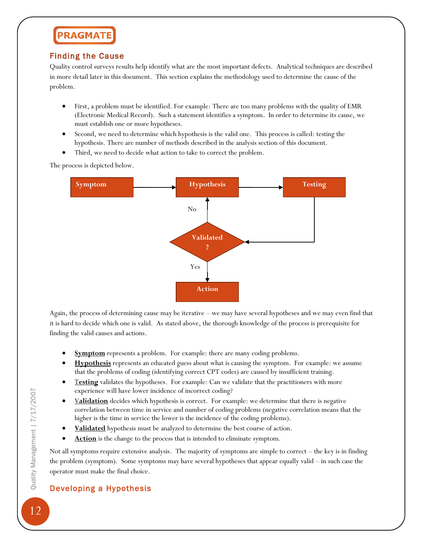### Finding the Cause

Quality control surveys results help identify what are the most important defects. Analytical techniques are described in more detail later in this document. This section explains the methodology used to determine the cause of the problem.

- First, a problem must be identified. For example: There are too many problems with the quality of EMR (Electronic Medical Record). Such a statement identifies a symptom. In order to determine its cause, we must establish one or more hypotheses.
- Second, we need to determine which hypothesis is the valid one. This process is called: testing the hypothesis. There are number of methods described in the analysis section of this document.
- Third, we need to decide what action to take to correct the problem.

The process is depicted below.



Again, the process of determining cause may be iterative – we may have several hypotheses and we may even find that it is hard to decide which one is valid. As stated above, the thorough knowledge of the process is prerequisite for finding the valid causes and actions.

- **Symptom** represents a problem. For example: there are many coding problems.
- **Hypothesis** represents an educated guess about what is causing the symptom. For example: we assume that the problems of coding (identifying correct CPT codes) are caused by insufficient training.
- Testing validates the hypotheses. For example: Can we validate that the practitioners with more experience will have lower incidence of incorrect coding?
- V**alidation** decides which hypothesis is correct. For example: we determine that there is negative correlation between time in service and number of coding problems (negative correlation means that the higher is the time in service the lower is the incidence of the coding problems).
- **Validated** hypothesis must be analyzed to determine the best course of action.
- Action is the change to the process that is intended to eliminate symptom.

Not all symptoms require extensive analysis. The majority of symptoms are simple to correct – the key is in finding the problem (symptom). Some symptoms may have several hypotheses that appear equally valid – in such case the operator must make the final choice.

### Developing a Hypothesis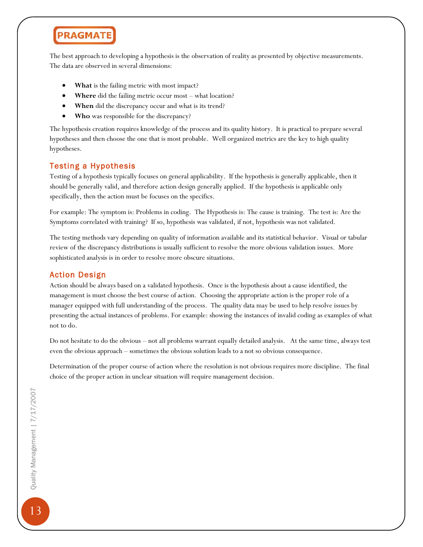

The best approach to developing a hypothesis is the observation of reality as presented by objective measurements. The data are observed in several dimensions:

- **What** is the failing metric with most impact?
- **Where** did the failing metric occur most what location?
- **When** did the discrepancy occur and what is its trend?
- **Who** was responsible for the discrepancy?

The hypothesis creation requires knowledge of the process and its quality history. It is practical to prepare several hypotheses and then choose the one that is most probable. Well organized metrics are the key to high quality hypotheses.

#### Testing a Hypothesis

Testing of a hypothesis typically focuses on general applicability. If the hypothesis is generally applicable, then it should be generally valid, and therefore action design generally applied. If the hypothesis is applicable only specifically, then the action must be focuses on the specifics.

For example: The symptom is: Problems in coding. The Hypothesis is: The cause is training. The test is: Are the Symptoms correlated with training? If so, hypothesis was validated, if not, hypothesis was not validated.

The testing methods vary depending on quality of information available and its statistical behavior. Visual or tabular review of the discrepancy distributions is usually sufficient to resolve the more obvious validation issues. More sophisticated analysis is in order to resolve more obscure situations.

#### Action Design

Action should be always based on a validated hypothesis. Once is the hypothesis about a cause identified, the management is must choose the best course of action. Choosing the appropriate action is the proper role of a manager equipped with full understanding of the process. The quality data may be used to help resolve issues by presenting the actual instances of problems. For example: showing the instances of invalid coding as examples of what not to do.

Do not hesitate to do the obvious – not all problems warrant equally detailed analysis. At the same time, always test even the obvious approach – sometimes the obvious solution leads to a not so obvious consequence.

Determination of the proper course of action where the resolution is not obvious requires more discipline. The final choice of the proper action in unclear situation will require management decision.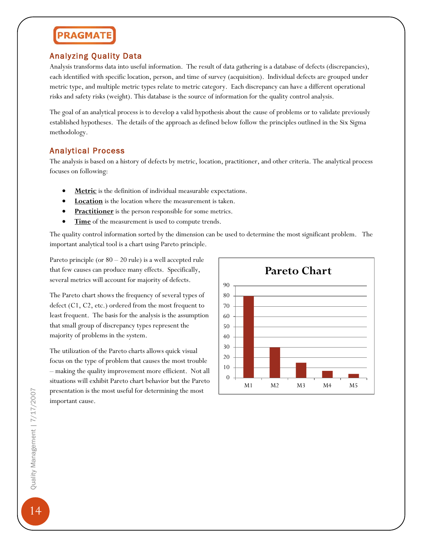### Analyzing Quality Data

Analysis transforms data into useful information. The result of data gathering is a database of defects (discrepancies), each identified with specific location, person, and time of survey (acquisition). Individual defects are grouped under metric type, and multiple metric types relate to metric category. Each discrepancy can have a different operational risks and safety risks (weight). This database is the source of information for the quality control analysis.

The goal of an analytical process is to develop a valid hypothesis about the cause of problems or to validate previously established hypotheses. The details of the approach as defined below follow the principles outlined in the Six Sigma methodology.

#### Analytical Process

The analysis is based on a history of defects by metric, location, practitioner, and other criteria. The analytical process focuses on following:

- **Metric** is the definition of individual measurable expectations.
- **Location** is the location where the measurement is taken.
- **Practitioner** is the person responsible for some metrics.
- **Time** of the measurement is used to compute trends.

The quality control information sorted by the dimension can be used to determine the most significant problem. The important analytical tool is a chart using Pareto principle.

Pareto principle (or  $80 - 20$  rule) is a well accepted rule that few causes can produce many effects. Specifically, several metrics will account for majority of defects.

The Pareto chart shows the frequency of several types of defect (C1, C2, etc.) ordered from the most frequent to least frequent. The basis for the analysis is the assumption that small group of discrepancy types represent the majority of problems in the system.

The utilization of the Pareto charts allows quick visual focus on the type of problem that causes the most trouble – making the quality improvement more efficient. Not all situations will exhibit Pareto chart behavior but the Pareto presentation is the most useful for determining the most important cause.

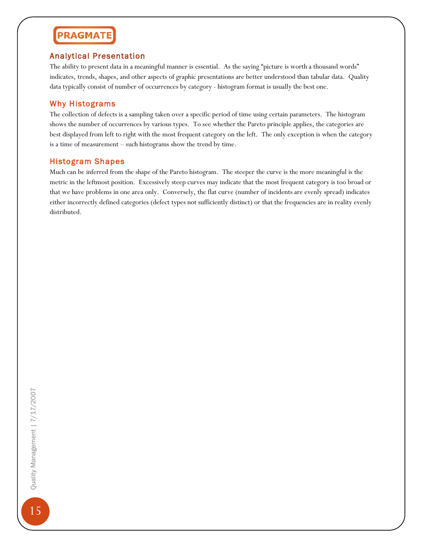#### Analytical Presentation

The ability to present data in a meaningful manner is essential. As the saying "picture is worth a thousand words" indicates, trends, shapes, and other aspects of graphic presentations are better understood than tabular data. Quality data typically consist of number of occurrences by category - histogram format is usually the best one.

#### Why Histograms

The collection of defects is a sampling taken over a specific period of time using certain parameters. The histogram shows the number of occurrences by various types. To see whether the Pareto principle applies, the categories are best displayed from left to right with the most frequent category on the left. The only exception is when the category is a time of measurement – such histograms show the trend by time.

#### Histogram Shapes

Much can be inferred from the shape of the Pareto histogram. The steeper the curve is the more meaningful is the metric in the leftmost position. Excessively steep curves may indicate that the most frequent category is too broad or that we have problems in one area only. Conversely, the flat curve (number of incidents are evenly spread) indicates either incorrectly defined categories (defect types not sufficiently distinct) or that the frequencies are in reality evenly distributed.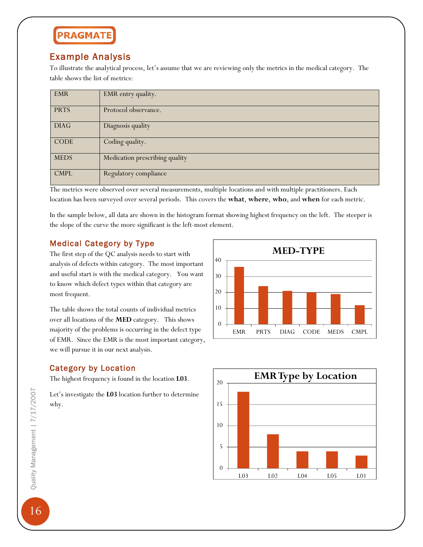### Example Analysis

To illustrate the analytical process, let's assume that we are reviewing only the metrics in the medical category. The table shows the list of metrics:

| <b>EMR</b>  | EMR entry quality.             |
|-------------|--------------------------------|
| <b>PRTS</b> | Protocol observance.           |
| <b>DIAG</b> | Diagnosis quality              |
| <b>CODE</b> | Coding quality.                |
| <b>MEDS</b> | Medication prescribing quality |
| <b>CMPL</b> | Regulatory compliance          |

The metrics were observed over several measurements, multiple locations and with multiple practitioners. Each location has been surveyed over several periods. This covers the **what**, **where**, **who**, and **when** for each metric.

In the sample below, all data are shown in the histogram format showing highest frequency on the left. The steeper is the slope of the curve the more significant is the left-most element.

#### Medical Category by Type

The first step of the QC analysis needs to start with analysis of defects within category. The most important and useful start is with the medical category. You want to know which defect types within that category are most frequent.

The table shows the total counts of individual metrics over all locations of the **MED** category. This shows majority of the problems is occurring in the defect type of EMR. Since the EMR is the most important category, we will pursue it in our next analysis.

### Category by Location

The highest frequency is found in the location **L03**.

Let's investigate the **L03** location further to determine why.





16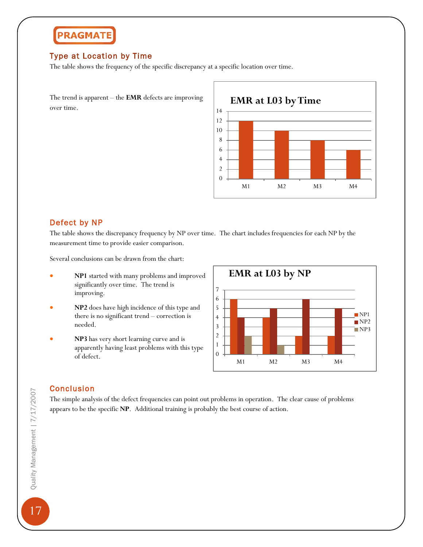#### Type at Location by Time

The table shows the frequency of the specific discrepancy at a specific location over time.

The trend is apparent – the **EMR** defects are improving over time.



#### Defect by NP

The table shows the discrepancy frequency by NP over time. The chart includes frequencies for each NP by the measurement time to provide easier comparison.

Several conclusions can be drawn from the chart:

- **NP1** started with many problems and improved significantly over time. The trend is improving.
- **NP2** does have high incidence of this type and there is no significant trend – correction is needed.
- **NP3** has very short learning curve and is apparently having least problems with this type of defect.



#### Conclusion

The simple analysis of the defect frequencies can point out problems in operation. The clear cause of problems appears to be the specific **NP**. Additional training is probably the best course of action.